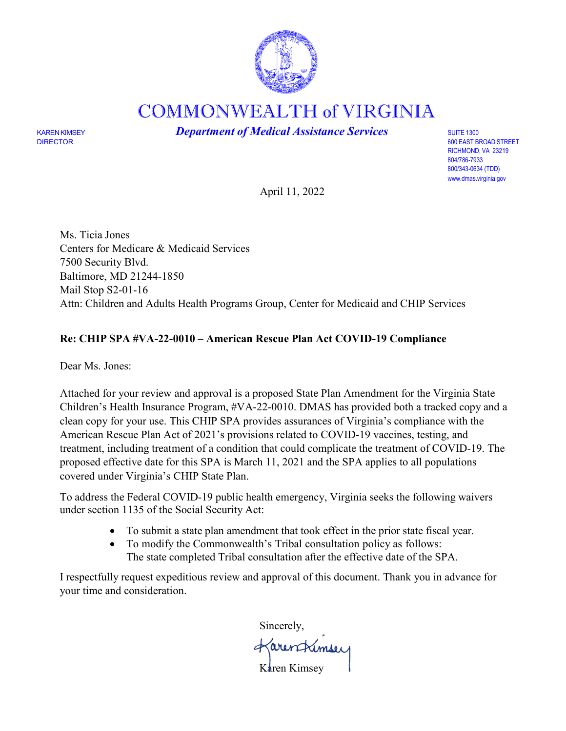

COMMONWEALTH of VIRGINIA

KAREN KIMSEY **Department of Medical Assistance Services** SUITE 1300 SUITE 1300<br>DIRECTOR 600 EAST B

600 EAST BROAD STREET RICHMOND, VA 23219 804/786-7933 800/343-0634 (TDD) [www.dmas.virginia.gov](http://www.dmas.virginia.gov/)

April 11, 2022

Ms. Ticia Jones Centers for Medicare & Medicaid Services 7500 Security Blvd. Baltimore, MD 21244-1850 Mail Stop S2-01-16 Attn: Children and Adults Health Programs Group, Center for Medicaid and CHIP Services

# **Re: CHIP SPA #VA-22-0010 – American Rescue Plan Act COVID-19 Compliance**

Dear Ms. Jones:

Attached for your review and approval is a proposed State Plan Amendment for the Virginia State Children's Health Insurance Program, #VA-22-0010. DMAS has provided both a tracked copy and a clean copy for your use. This CHIP SPA provides assurances of Virginia's compliance with the American Rescue Plan Act of 2021's provisions related to COVID-19 vaccines, testing, and treatment, including treatment of a condition that could complicate the treatment of COVID-19. The proposed effective date for this SPA is March 11, 2021 and the SPA applies to all populations covered under Virginia's CHIP State Plan.

To address the Federal COVID-19 public health emergency, Virginia seeks the following waivers under section 1135 of the Social Security Act:

- To submit a state plan amendment that took effect in the prior state fiscal year.
- To modify the Commonwealth's Tribal consultation policy as follows: The state completed Tribal consultation after the effective date of the SPA.

I respectfully request expeditious review and approval of this document. Thank you in advance for your time and consideration.

Sincerely, Karentrimsey Karen Kimsey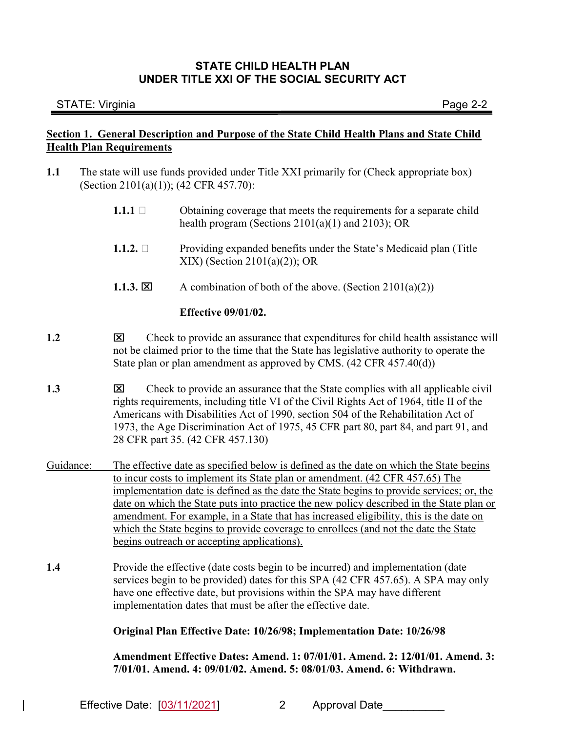### STATE: Virginia Page 2-2

# Section 1. General Description and Purpose of the State Child Health Plans and State Child Health Plan Requirements

- 1.1 The state will use funds provided under Title XXI primarily for (Check appropriate box) (Section 2101(a)(1)); (42 CFR 457.70):
	- 1.1.1  $\Box$  Obtaining coverage that meets the requirements for a separate child health program (Sections 2101(a)(1) and 2103); OR
	- **1.1.2.**  $\Box$  Providing expanded benefits under the State's Medicaid plan (Title XIX) (Section 2101(a)(2)); OR
	- 1.1.3.  $\boxtimes$  A combination of both of the above. (Section 2101(a)(2))

### Effective 09/01/02.

- 1.2 Check to provide an assurance that expenditures for child health assistance will not be claimed prior to the time that the State has legislative authority to operate the State plan or plan amendment as approved by CMS. (42 CFR 457.40(d))
- 1.3 **ICH** Check to provide an assurance that the State complies with all applicable civil rights requirements, including title VI of the Civil Rights Act of 1964, title II of the Americans with Disabilities Act of 1990, section 504 of the Rehabilitation Act of 1973, the Age Discrimination Act of 1975, 45 CFR part 80, part 84, and part 91, and 28 CFR part 35. (42 CFR 457.130)
- Guidance: The effective date as specified below is defined as the date on which the State begins to incur costs to implement its State plan or amendment. (42 CFR 457.65) The implementation date is defined as the date the State begins to provide services; or, the date on which the State puts into practice the new policy described in the State plan or amendment. For example, in a State that has increased eligibility, this is the date on which the State begins to provide coverage to enrollees (and not the date the State begins outreach or accepting applications).
- 1.4 Provide the effective (date costs begin to be incurred) and implementation (date services begin to be provided) dates for this SPA (42 CFR 457.65). A SPA may only have one effective date, but provisions within the SPA may have different implementation dates that must be after the effective date.

### Original Plan Effective Date: 10/26/98; Implementation Date: 10/26/98

Amendment Effective Dates: Amend. 1: 07/01/01. Amend. 2: 12/01/01. Amend. 3: 7/01/01. Amend. 4: 09/01/02. Amend. 5: 08/01/03. Amend. 6: Withdrawn.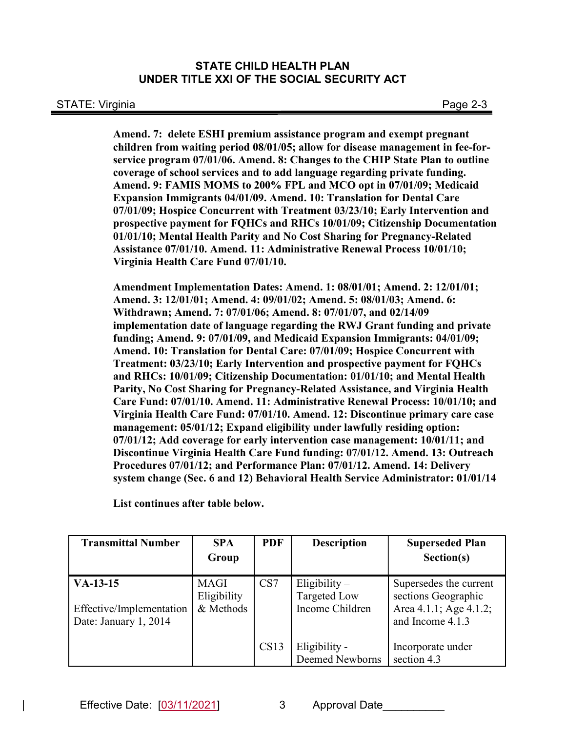Amend. 7: delete ESHI premium assistance program and exempt pregnant children from waiting period 08/01/05; allow for disease management in fee-forservice program 07/01/06. Amend. 8: Changes to the CHIP State Plan to outline coverage of school services and to add language regarding private funding. Amend. 9: FAMIS MOMS to 200% FPL and MCO opt in 07/01/09; Medicaid Expansion Immigrants 04/01/09. Amend. 10: Translation for Dental Care 07/01/09; Hospice Concurrent with Treatment 03/23/10; Early Intervention and prospective payment for FQHCs and RHCs 10/01/09; Citizenship Documentation 01/01/10; Mental Health Parity and No Cost Sharing for Pregnancy-Related Assistance 07/01/10. Amend. 11: Administrative Renewal Process 10/01/10; Virginia Health Care Fund 07/01/10.

Amendment Implementation Dates: Amend. 1: 08/01/01; Amend. 2: 12/01/01; Amend. 3: 12/01/01; Amend. 4: 09/01/02; Amend. 5: 08/01/03; Amend. 6: Withdrawn; Amend. 7: 07/01/06; Amend. 8: 07/01/07, and 02/14/09 implementation date of language regarding the RWJ Grant funding and private funding; Amend. 9: 07/01/09, and Medicaid Expansion Immigrants: 04/01/09; Amend. 10: Translation for Dental Care: 07/01/09; Hospice Concurrent with Treatment: 03/23/10; Early Intervention and prospective payment for FQHCs and RHCs: 10/01/09; Citizenship Documentation: 01/01/10; and Mental Health Parity, No Cost Sharing for Pregnancy-Related Assistance, and Virginia Health Care Fund: 07/01/10. Amend. 11: Administrative Renewal Process: 10/01/10; and Virginia Health Care Fund: 07/01/10. Amend. 12: Discontinue primary care case management: 05/01/12; Expand eligibility under lawfully residing option: 07/01/12; Add coverage for early intervention case management: 10/01/11; and Discontinue Virginia Health Care Fund funding: 07/01/12. Amend. 13: Outreach Procedures 07/01/12; and Performance Plan: 07/01/12. Amend. 14: Delivery system change (Sec. 6 and 12) Behavioral Health Service Administrator: 01/01/14

List continues after table below.

| <b>Transmittal Number</b>              | <b>SPA</b>                              | <b>PDF</b> | <b>Description</b>                                        | <b>Superseded Plan</b>                                                  |
|----------------------------------------|-----------------------------------------|------------|-----------------------------------------------------------|-------------------------------------------------------------------------|
|                                        | Group                                   |            |                                                           | Section(s)                                                              |
| $VA-13-15$<br>Effective/Implementation | <b>MAGI</b><br>Eligibility<br>& Methods | CS7        | Eligibility $-$<br><b>Targeted Low</b><br>Income Children | Supersedes the current<br>sections Geographic<br>Area 4.1.1; Age 4.1.2; |
| Date: January 1, 2014                  |                                         | CS13       | Eligibility -<br>Deemed Newborns                          | and Income 4.1.3<br>Incorporate under<br>section 4.3                    |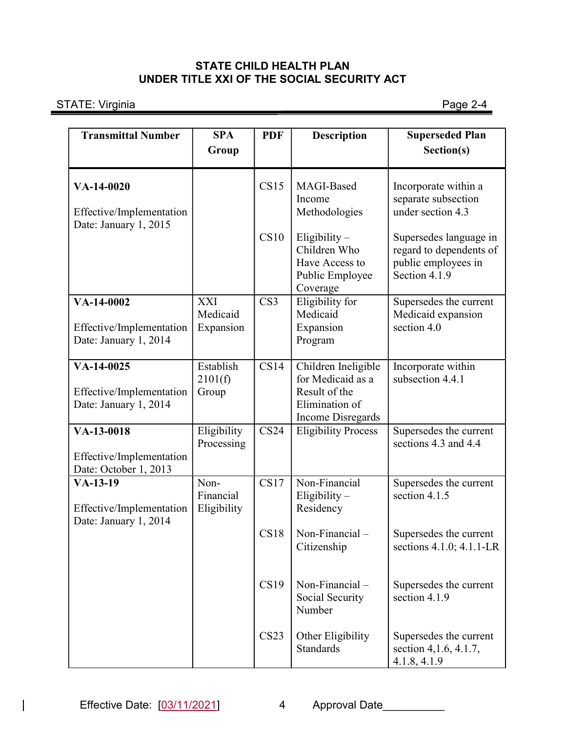STATE: Virginia Page 2-4

| <b>Transmittal Number</b>                                       | <b>SPA</b><br>Group                 | <b>PDF</b>       | <b>Description</b>                                                                                      | <b>Superseded Plan</b><br>Section(s)                                                      |
|-----------------------------------------------------------------|-------------------------------------|------------------|---------------------------------------------------------------------------------------------------------|-------------------------------------------------------------------------------------------|
| VA-14-0020<br>Effective/Implementation<br>Date: January 1, 2015 |                                     | CS15             | MAGI-Based<br>Income<br>Methodologies                                                                   | Incorporate within a<br>separate subsection<br>under section 4.3                          |
|                                                                 |                                     | CS10             | Eligibility-<br>Children Who<br>Have Access to<br>Public Employee<br>Coverage                           | Supersedes language in<br>regard to dependents of<br>public employees in<br>Section 4.1.9 |
| VA-14-0002<br>Effective/Implementation<br>Date: January 1, 2014 | <b>XXI</b><br>Medicaid<br>Expansion | CS <sub>3</sub>  | Eligibility for<br>Medicaid<br>Expansion<br>Program                                                     | Supersedes the current<br>Medicaid expansion<br>section 4.0                               |
| VA-14-0025<br>Effective/Implementation<br>Date: January 1, 2014 | Establish<br>2101(f)<br>Group       | CS14             | Children Ineligible<br>for Medicaid as a<br>Result of the<br>Elimination of<br><b>Income Disregards</b> | Incorporate within<br>subsection 4.4.1                                                    |
| VA-13-0018<br>Effective/Implementation<br>Date: October 1, 2013 | Eligibility<br>Processing           | CS <sub>24</sub> | <b>Eligibility Process</b>                                                                              | Supersedes the current<br>sections 4.3 and 4.4                                            |
| $VA-13-19$<br>Effective/Implementation<br>Date: January 1, 2014 | Non-<br>Financial<br>Eligibility    | CS17             | Non-Financial<br>Eligibility-<br>Residency                                                              | Supersedes the current<br>section 4.1.5                                                   |
|                                                                 |                                     | CS18             | Non-Financial $-$<br>Citizenship                                                                        | Supersedes the current<br>sections 4.1.0; 4.1.1-LR                                        |
|                                                                 |                                     | CS19             | Non-Financial-<br>Social Security<br>Number                                                             | Supersedes the current<br>section 4.1.9                                                   |
|                                                                 |                                     | CS23             | Other Eligibility<br>Standards                                                                          | Supersedes the current<br>section 4, 1.6, 4.1.7,<br>4.1.8, 4.1.9                          |

 $\overline{\phantom{a}}$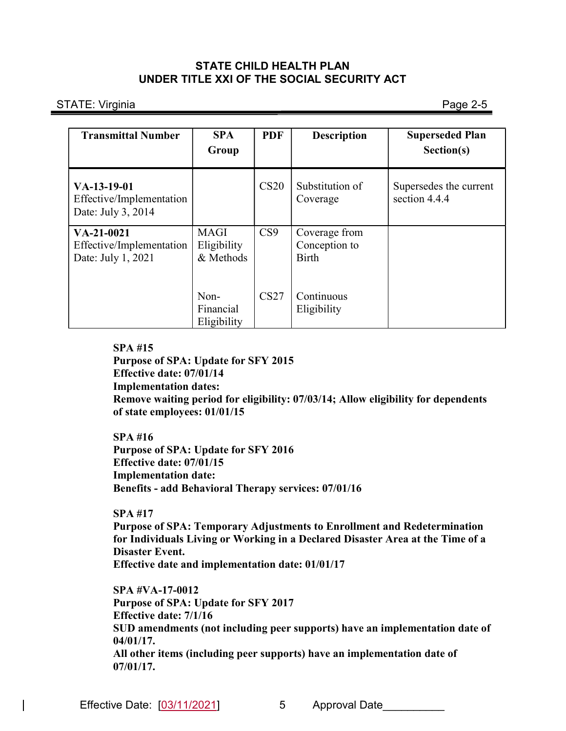STATE: Virginia Page 2-5

| <b>Transmittal Number</b>                                       | <b>SPA</b><br>Group                     | <b>PDF</b>       | <b>Description</b>                             | <b>Superseded Plan</b><br>Section(s)    |
|-----------------------------------------------------------------|-----------------------------------------|------------------|------------------------------------------------|-----------------------------------------|
| $VA-13-19-01$<br>Effective/Implementation<br>Date: July 3, 2014 |                                         | CS <sub>20</sub> | Substitution of<br>Coverage                    | Supersedes the current<br>section 4.4.4 |
| $VA-21-0021$<br>Effective/Implementation<br>Date: July 1, 2021  | <b>MAGI</b><br>Eligibility<br>& Methods | CS9              | Coverage from<br>Conception to<br><b>Birth</b> |                                         |
|                                                                 | Non-<br>Financial<br>Eligibility        | CS27             | Continuous<br>Eligibility                      |                                         |

### SPA #15

Purpose of SPA: Update for SFY 2015 Effective date: 07/01/14

Implementation dates:

Remove waiting period for eligibility: 07/03/14; Allow eligibility for dependents of state employees: 01/01/15

#### SPA #16

Purpose of SPA: Update for SFY 2016 Effective date: 07/01/15 Implementation date: Benefits - add Behavioral Therapy services: 07/01/16

#### SPA #17

 Purpose of SPA: Temporary Adjustments to Enrollment and Redetermination for Individuals Living or Working in a Declared Disaster Area at the Time of a Disaster Event.

Effective date and implementation date: 01/01/17

SPA #VA-17-0012 Purpose of SPA: Update for SFY 2017 Effective date: 7/1/16 SUD amendments (not including peer supports) have an implementation date of 04/01/17. All other items (including peer supports) have an implementation date of 07/01/17.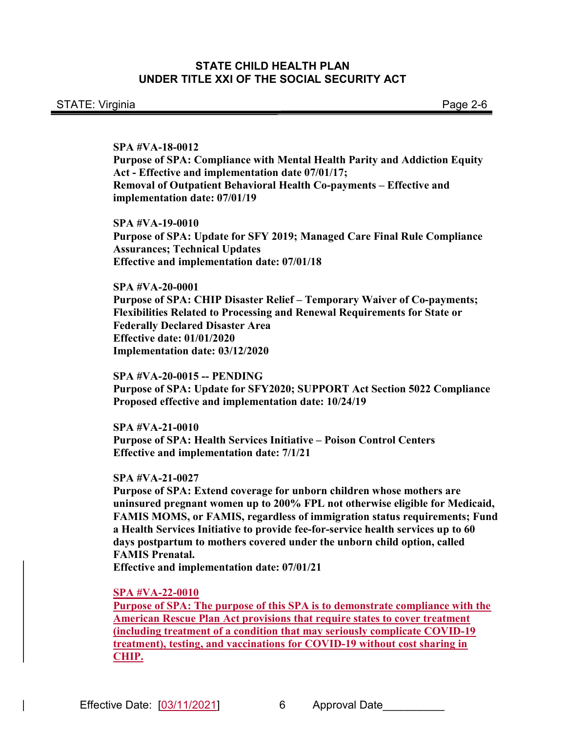SPA #VA-18-0012

Purpose of SPA: Compliance with Mental Health Parity and Addiction Equity Act - Effective and implementation date 07/01/17; Removal of Outpatient Behavioral Health Co-payments – Effective and implementation date: 07/01/19

SPA #VA-19-0010 Purpose of SPA: Update for SFY 2019; Managed Care Final Rule Compliance Assurances; Technical Updates Effective and implementation date: 07/01/18

SPA #VA-20-0001 Purpose of SPA: CHIP Disaster Relief – Temporary Waiver of Co-payments; Flexibilities Related to Processing and Renewal Requirements for State or Federally Declared Disaster Area Effective date: 01/01/2020 Implementation date: 03/12/2020

SPA #VA-20-0015 -- PENDING Purpose of SPA: Update for SFY2020; SUPPORT Act Section 5022 Compliance Proposed effective and implementation date: 10/24/19

SPA #VA-21-0010 Purpose of SPA: Health Services Initiative – Poison Control Centers Effective and implementation date: 7/1/21

SPA #VA-21-0027

Purpose of SPA: Extend coverage for unborn children whose mothers are uninsured pregnant women up to 200% FPL not otherwise eligible for Medicaid, FAMIS MOMS, or FAMIS, regardless of immigration status requirements; Fund a Health Services Initiative to provide fee-for-service health services up to 60 days postpartum to mothers covered under the unborn child option, called FAMIS Prenatal.

Effective and implementation date: 07/01/21

SPA #VA-22-0010

Purpose of SPA: The purpose of this SPA is to demonstrate compliance with the American Rescue Plan Act provisions that require states to cover treatment (including treatment of a condition that may seriously complicate COVID-19 treatment), testing, and vaccinations for COVID-19 without cost sharing in CHIP.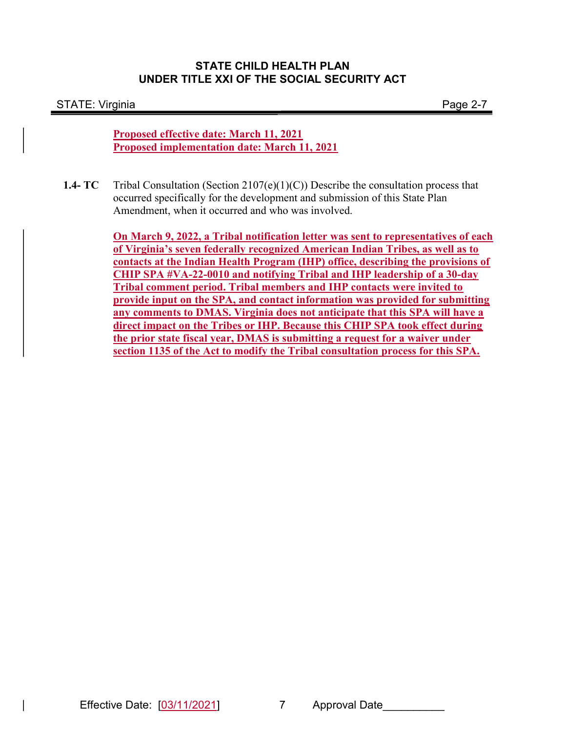#### STATE: Virginia Page 2-7

Proposed effective date: March 11, 2021 Proposed implementation date: March 11, 2021

1.4-  $TC$  Tribal Consultation (Section 2107(e)(1)(C)) Describe the consultation process that occurred specifically for the development and submission of this State Plan Amendment, when it occurred and who was involved.

> On March 9, 2022, a Tribal notification letter was sent to representatives of each of Virginia's seven federally recognized American Indian Tribes, as well as to contacts at the Indian Health Program (IHP) office, describing the provisions of CHIP SPA #VA-22-0010 and notifying Tribal and IHP leadership of a 30-day Tribal comment period. Tribal members and IHP contacts were invited to provide input on the SPA, and contact information was provided for submitting any comments to DMAS. Virginia does not anticipate that this SPA will have a direct impact on the Tribes or IHP. Because this CHIP SPA took effect during the prior state fiscal year, DMAS is submitting a request for a waiver under section 1135 of the Act to modify the Tribal consultation process for this SPA.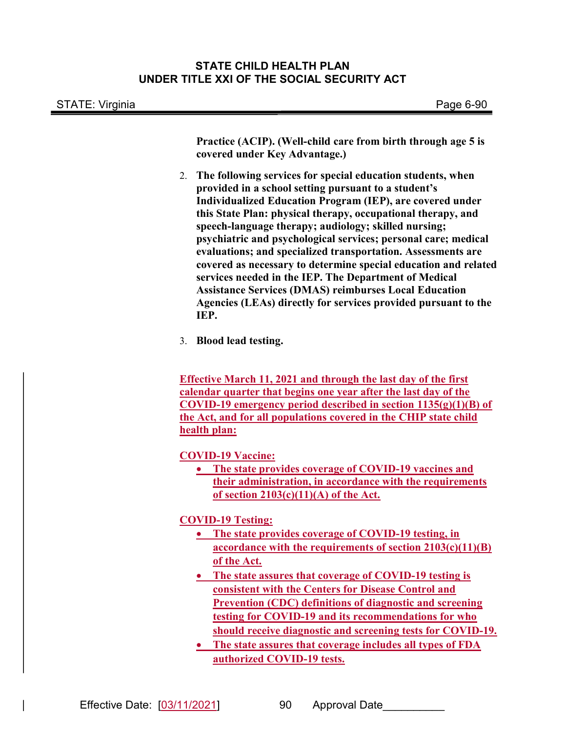STATE: Virginia **Page 6-90** 

Practice (ACIP). (Well-child care from birth through age 5 is covered under Key Advantage.)

- 2. The following services for special education students, when provided in a school setting pursuant to a student's Individualized Education Program (IEP), are covered under this State Plan: physical therapy, occupational therapy, and speech-language therapy; audiology; skilled nursing; psychiatric and psychological services; personal care; medical evaluations; and specialized transportation. Assessments are covered as necessary to determine special education and related services needed in the IEP. The Department of Medical Assistance Services (DMAS) reimburses Local Education Agencies (LEAs) directly for services provided pursuant to the IEP.
- 3. Blood lead testing.

Effective March 11, 2021 and through the last day of the first calendar quarter that begins one year after the last day of the COVID-19 emergency period described in section 1135(g)(1)(B) of the Act, and for all populations covered in the CHIP state child health plan:

COVID-19 Vaccine:

 The state provides coverage of COVID-19 vaccines and their administration, in accordance with the requirements of section  $2103(c)(11)(A)$  of the Act.

COVID-19 Testing:

- The state provides coverage of COVID-19 testing, in accordance with the requirements of section 2103(c)(11)(B) of the Act.
- The state assures that coverage of COVID-19 testing is consistent with the Centers for Disease Control and Prevention (CDC) definitions of diagnostic and screening testing for COVID-19 and its recommendations for who should receive diagnostic and screening tests for COVID-19.
- The state assures that coverage includes all types of FDA authorized COVID-19 tests.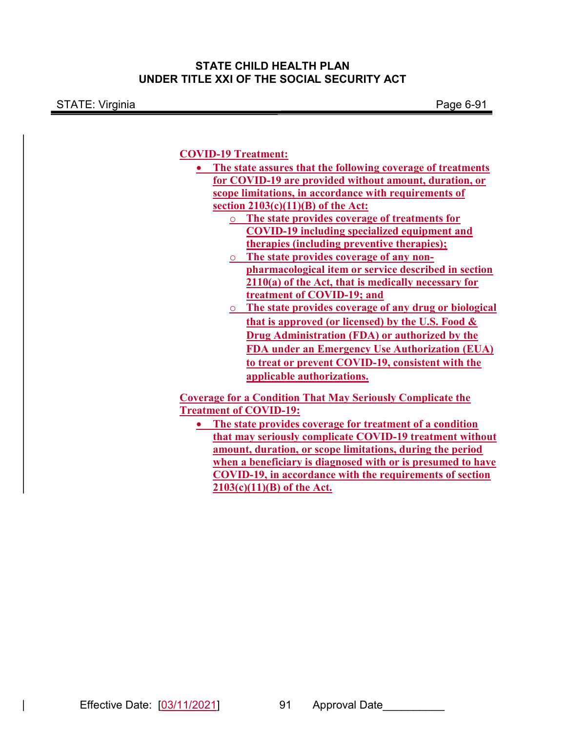STATE: Virginia Page 6-91

### COVID-19 Treatment:

- The state assures that the following coverage of treatments for COVID-19 are provided without amount, duration, or scope limitations, in accordance with requirements of section  $2103(c)(11)(B)$  of the Act:
	- o The state provides coverage of treatments for COVID-19 including specialized equipment and therapies (including preventive therapies);
	- o The state provides coverage of any nonpharmacological item or service described in section 2110(a) of the Act, that is medically necessary for treatment of COVID-19; and
	- o The state provides coverage of any drug or biological that is approved (or licensed) by the U.S. Food  $\&$ Drug Administration (FDA) or authorized by the FDA under an Emergency Use Authorization (EUA) to treat or prevent COVID-19, consistent with the applicable authorizations.

Coverage for a Condition That May Seriously Complicate the Treatment of COVID-19:

 The state provides coverage for treatment of a condition that may seriously complicate COVID-19 treatment without amount, duration, or scope limitations, during the period when a beneficiary is diagnosed with or is presumed to have COVID-19, in accordance with the requirements of section  $2103(c)(11)(B)$  of the Act.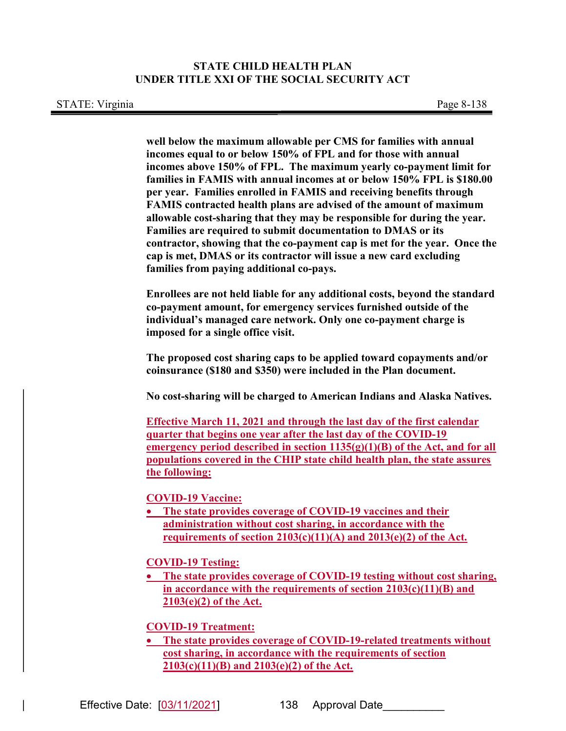well below the maximum allowable per CMS for families with annual incomes equal to or below 150% of FPL and for those with annual incomes above 150% of FPL. The maximum yearly co-payment limit for families in FAMIS with annual incomes at or below 150% FPL is \$180.00 per year. Families enrolled in FAMIS and receiving benefits through FAMIS contracted health plans are advised of the amount of maximum allowable cost-sharing that they may be responsible for during the year. Families are required to submit documentation to DMAS or its contractor, showing that the co-payment cap is met for the year. Once the cap is met, DMAS or its contractor will issue a new card excluding families from paying additional co-pays.

Enrollees are not held liable for any additional costs, beyond the standard co-payment amount, for emergency services furnished outside of the individual's managed care network. Only one co-payment charge is imposed for a single office visit.

The proposed cost sharing caps to be applied toward copayments and/or coinsurance (\$180 and \$350) were included in the Plan document.

No cost-sharing will be charged to American Indians and Alaska Natives.

Effective March 11, 2021 and through the last day of the first calendar quarter that begins one year after the last day of the COVID-19 emergency period described in section  $1135(g)(1)(B)$  of the Act, and for all populations covered in the CHIP state child health plan, the state assures the following:

COVID-19 Vaccine:

• The state provides coverage of COVID-19 vaccines and their administration without cost sharing, in accordance with the requirements of section  $2103(c)(11)(A)$  and  $2013(e)(2)$  of the Act.

COVID-19 Testing:

 The state provides coverage of COVID-19 testing without cost sharing, in accordance with the requirements of section 2103(c)(11)(B) and 2103(e)(2) of the Act.

COVID-19 Treatment:

 The state provides coverage of COVID-19-related treatments without cost sharing, in accordance with the requirements of section 2103(c)(11)(B) and 2103(e)(2) of the Act.

Effective Date:  $[03/11/2021]$  138 Approval Date